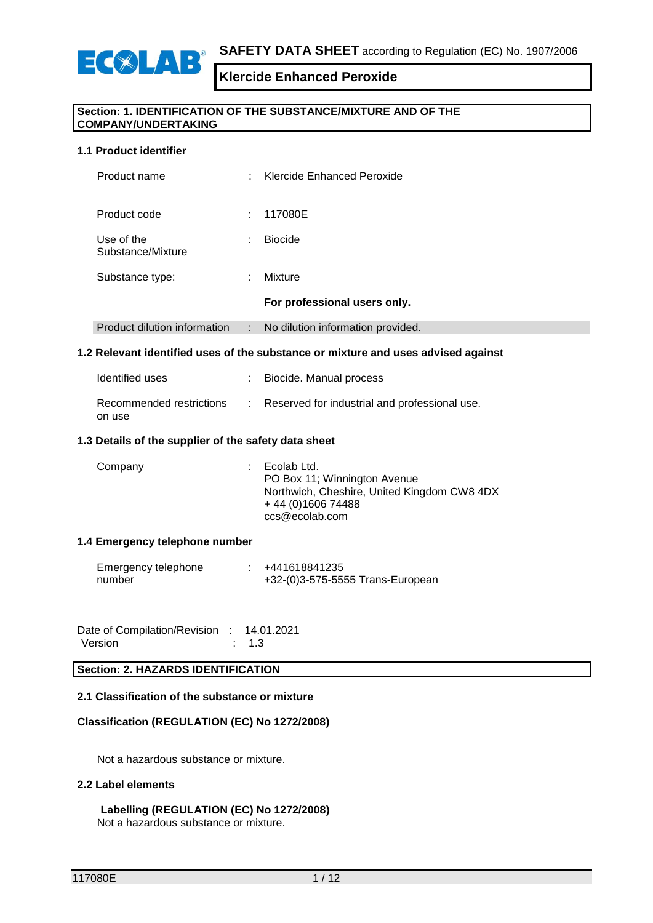

#### **Section: 1. IDENTIFICATION OF THE SUBSTANCE/MIXTURE AND OF THE COMPANY/UNDERTAKING**

#### **1.1 Product identifier**

| Product name                    | ÷         | Klercide Enhanced Peroxide        |
|---------------------------------|-----------|-----------------------------------|
| Product code                    | ÷         | 117080E                           |
| Use of the<br>Substance/Mixture | $\bullet$ | <b>Biocide</b>                    |
| Substance type:                 | ÷         | Mixture                           |
|                                 |           | For professional users only.      |
| Product dilution information    | ÷         | No dilution information provided. |
|                                 |           |                                   |

#### **1.2 Relevant identified uses of the substance or mixture and uses advised against**

| Identified uses                    | : Biocide. Manual process                       |
|------------------------------------|-------------------------------------------------|
| Recommended restrictions<br>on use | : Reserved for industrial and professional use. |

#### **1.3 Details of the supplier of the safety data sheet**

| PO Box 11; Winnington Avenue | Northwich, Cheshire, United Kingdom CW8 4DX<br>+44 (0) 1606 74488<br>ccs@ecolab.com |
|------------------------------|-------------------------------------------------------------------------------------|
|------------------------------|-------------------------------------------------------------------------------------|

#### **1.4 Emergency telephone number**

| Emergency telephone | +441618841235                    |
|---------------------|----------------------------------|
| number              | +32-(0)3-575-5555 Trans-European |

| Date of Compilation/Revision : 14.01.2021 |                  |
|-------------------------------------------|------------------|
| Version                                   | $\therefore$ 1.3 |

#### **Section: 2. HAZARDS IDENTIFICATION**

#### **2.1 Classification of the substance or mixture**

#### **Classification (REGULATION (EC) No 1272/2008)**

Not a hazardous substance or mixture.

#### **2.2 Label elements**

### **Labelling (REGULATION (EC) No 1272/2008)**

Not a hazardous substance or mixture.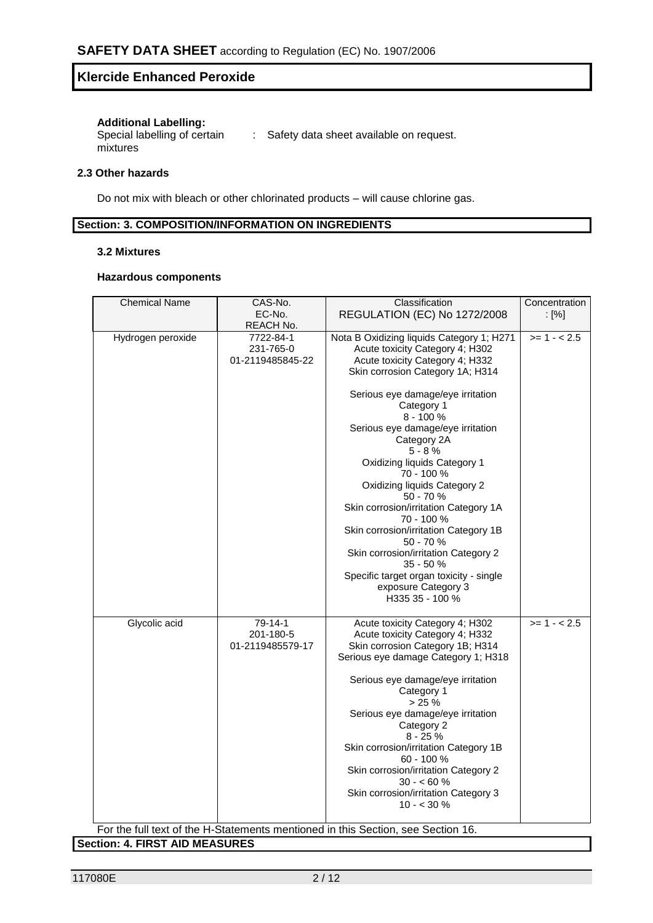#### **Additional Labelling:**

Special labelling of certain mixtures : Safety data sheet available on request.

#### **2.3 Other hazards**

Do not mix with bleach or other chlorinated products – will cause chlorine gas.

#### **Section: 3. COMPOSITION/INFORMATION ON INGREDIENTS**

#### **3.2 Mixtures**

#### **Hazardous components**

| <b>Chemical Name</b> | CAS-No.          | Classification                                                                   | Concentration            |
|----------------------|------------------|----------------------------------------------------------------------------------|--------------------------|
|                      | EC-No.           | <b>REGULATION (EC) No 1272/2008</b>                                              | $\lbrack \% \rbrack$     |
|                      | REACH No.        |                                                                                  |                          |
| Hydrogen peroxide    | 7722-84-1        | Nota B Oxidizing liquids Category 1; H271                                        | $\overline{>}$ 1 - < 2.5 |
|                      | 231-765-0        | Acute toxicity Category 4; H302                                                  |                          |
|                      | 01-2119485845-22 | Acute toxicity Category 4; H332                                                  |                          |
|                      |                  | Skin corrosion Category 1A; H314                                                 |                          |
|                      |                  |                                                                                  |                          |
|                      |                  | Serious eye damage/eye irritation                                                |                          |
|                      |                  | Category 1                                                                       |                          |
|                      |                  | $8 - 100%$                                                                       |                          |
|                      |                  | Serious eye damage/eye irritation                                                |                          |
|                      |                  | Category 2A                                                                      |                          |
|                      |                  | $5 - 8%$                                                                         |                          |
|                      |                  | Oxidizing liquids Category 1                                                     |                          |
|                      |                  | 70 - 100 %                                                                       |                          |
|                      |                  | Oxidizing liquids Category 2                                                     |                          |
|                      |                  | 50 - 70 %                                                                        |                          |
|                      |                  | Skin corrosion/irritation Category 1A                                            |                          |
|                      |                  | 70 - 100 %                                                                       |                          |
|                      |                  | Skin corrosion/irritation Category 1B                                            |                          |
|                      |                  | $50 - 70%$                                                                       |                          |
|                      |                  | Skin corrosion/irritation Category 2                                             |                          |
|                      |                  | 35 - 50 %                                                                        |                          |
|                      |                  | Specific target organ toxicity - single                                          |                          |
|                      |                  | exposure Category 3                                                              |                          |
|                      |                  | H335 35 - 100 %                                                                  |                          |
|                      |                  |                                                                                  |                          |
| Glycolic acid        | 79-14-1          | Acute toxicity Category 4; H302                                                  | $>= 1 - 2.5$             |
|                      | 201-180-5        | Acute toxicity Category 4; H332                                                  |                          |
|                      | 01-2119485579-17 | Skin corrosion Category 1B; H314                                                 |                          |
|                      |                  | Serious eye damage Category 1; H318                                              |                          |
|                      |                  |                                                                                  |                          |
|                      |                  | Serious eye damage/eye irritation                                                |                          |
|                      |                  | Category 1                                                                       |                          |
|                      |                  | $> 25 \%$                                                                        |                          |
|                      |                  | Serious eye damage/eye irritation                                                |                          |
|                      |                  | Category 2                                                                       |                          |
|                      |                  | $8 - 25%$<br>Skin corrosion/irritation Category 1B                               |                          |
|                      |                  | 60 - 100 %                                                                       |                          |
|                      |                  | Skin corrosion/irritation Category 2                                             |                          |
|                      |                  | $30 - 60 \%$                                                                     |                          |
|                      |                  | Skin corrosion/irritation Category 3                                             |                          |
|                      |                  | $10 - 30 \%$                                                                     |                          |
|                      |                  |                                                                                  |                          |
|                      |                  | For the full text of the H-Statements mentioned in this Section, see Section 16. |                          |

**Section: 4. FIRST AID MEASURES**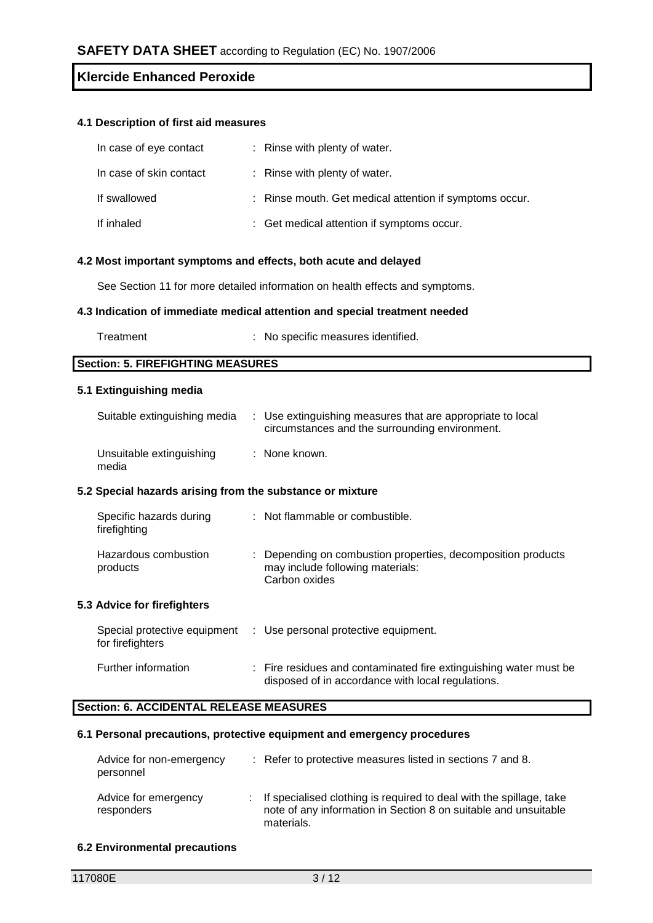#### **4.1 Description of first aid measures**

| In case of eye contact  | : Rinse with plenty of water.                           |
|-------------------------|---------------------------------------------------------|
| In case of skin contact | : Rinse with plenty of water.                           |
| If swallowed            | : Rinse mouth. Get medical attention if symptoms occur. |
| If inhaled              | : Get medical attention if symptoms occur.              |

#### **4.2 Most important symptoms and effects, both acute and delayed**

See Section 11 for more detailed information on health effects and symptoms.

#### **4.3 Indication of immediate medical attention and special treatment needed**

| Treatment | No specific measures identified. |
|-----------|----------------------------------|
|-----------|----------------------------------|

**Section: 5. FIREFIGHTING MEASURES**

#### **5.1 Extinguishing media**

| Suitable extinguishing media                              | : Use extinguishing measures that are appropriate to local<br>circumstances and the surrounding environment.      |
|-----------------------------------------------------------|-------------------------------------------------------------------------------------------------------------------|
| Unsuitable extinguishing<br>media                         | : None known.                                                                                                     |
| 5.2 Special hazards arising from the substance or mixture |                                                                                                                   |
| Specific hazards during<br>firefighting                   | : Not flammable or combustible.                                                                                   |
| Hazardous combustion<br>products                          | : Depending on combustion properties, decomposition products<br>may include following materials:<br>Carbon oxides |
| 5.3 Advice for firefighters                               |                                                                                                                   |
| Special protective equipment<br>for firefighters          | : Use personal protective equipment.                                                                              |

| Further information | : Fire residues and contaminated fire extinguishing water must be |
|---------------------|-------------------------------------------------------------------|
|                     | disposed of in accordance with local regulations.                 |

# **Section: 6. ACCIDENTAL RELEASE MEASURES**

#### **6.1 Personal precautions, protective equipment and emergency procedures**

| Advice for non-emergency<br>personnel |    | : Refer to protective measures listed in sections 7 and 8.                                                                                           |
|---------------------------------------|----|------------------------------------------------------------------------------------------------------------------------------------------------------|
| Advice for emergency<br>responders    | ÷. | If specialised clothing is required to deal with the spillage, take<br>note of any information in Section 8 on suitable and unsuitable<br>materials. |

#### **6.2 Environmental precautions**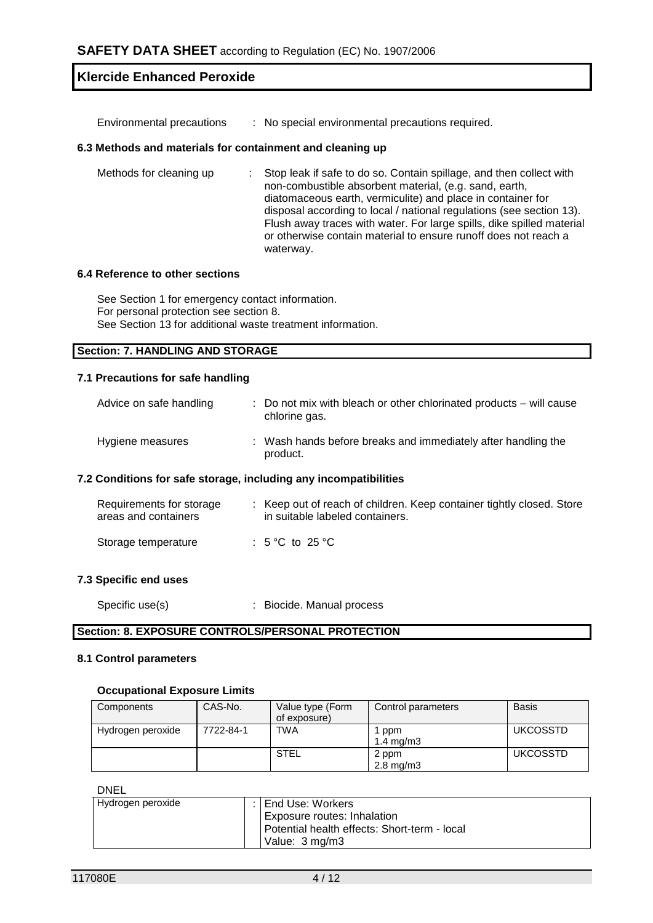Environmental precautions : No special environmental precautions required.

#### **6.3 Methods and materials for containment and cleaning up**

| Methods for cleaning up | : Stop leak if safe to do so. Contain spillage, and then collect with<br>non-combustible absorbent material, (e.g. sand, earth,<br>diatomaceous earth, vermiculite) and place in container for<br>disposal according to local / national regulations (see section 13).<br>Flush away traces with water. For large spills, dike spilled material<br>or otherwise contain material to ensure runoff does not reach a |
|-------------------------|--------------------------------------------------------------------------------------------------------------------------------------------------------------------------------------------------------------------------------------------------------------------------------------------------------------------------------------------------------------------------------------------------------------------|
|                         | waterway.                                                                                                                                                                                                                                                                                                                                                                                                          |

#### **6.4 Reference to other sections**

See Section 1 for emergency contact information. For personal protection see section 8. See Section 13 for additional waste treatment information.

#### **Section: 7. HANDLING AND STORAGE**

#### **7.1 Precautions for safe handling**

| Advice on safe handling | : Do not mix with bleach or other chlorinated products – will cause<br>chlorine gas. |
|-------------------------|--------------------------------------------------------------------------------------|
| Hygiene measures        | : Wash hands before breaks and immediately after handling the<br>product.            |

#### **7.2 Conditions for safe storage, including any incompatibilities**

| Requirements for storage<br>areas and containers | : Keep out of reach of children. Keep container tightly closed. Store<br>in suitable labeled containers. |
|--------------------------------------------------|----------------------------------------------------------------------------------------------------------|
| Storage temperature                              | : 5 °C to 25 °C                                                                                          |

#### **7.3 Specific end uses**

Specific use(s)  $\qquad \qquad$ : Biocide. Manual process

#### **Section: 8. EXPOSURE CONTROLS/PERSONAL PROTECTION**

#### **8.1 Control parameters**

#### **Occupational Exposure Limits**

| Components        | CAS-No.   | Value type (Form<br>of exposure) | Control parameters          | <b>Basis</b>    |
|-------------------|-----------|----------------------------------|-----------------------------|-----------------|
| Hydrogen peroxide | 7722-84-1 | <b>TWA</b>                       | ppm<br>$1.4 \text{ ma/m}$ 3 | <b>UKCOSSTD</b> |
|                   |           | STEL                             | 2 ppm<br>$2.8 \text{ mg/m}$ | <b>UKCOSSTD</b> |

DNEL

| -----             |                                              |
|-------------------|----------------------------------------------|
| Hydrogen peroxide | : I End Use: Workers                         |
|                   | <b>Exposure routes: Inhalation</b>           |
|                   | Potential health effects: Short-term - local |
|                   | Value: 3 mg/m3                               |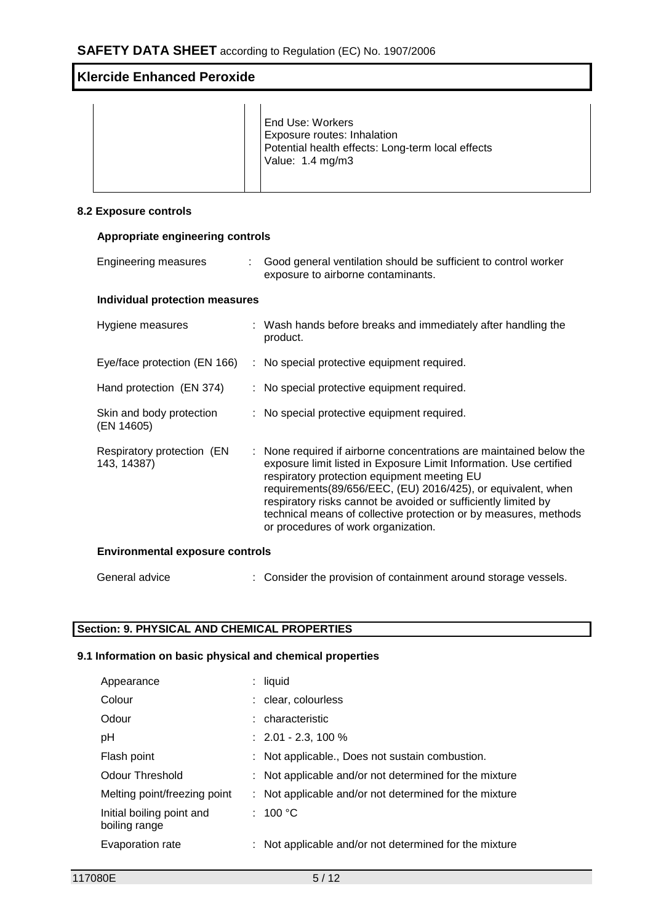|  |  | End Use: Workers<br>Exposure routes: Inhalation<br>Potential health effects: Long-term local effects<br>Value: 1.4 mg/m3 |
|--|--|--------------------------------------------------------------------------------------------------------------------------|
|--|--|--------------------------------------------------------------------------------------------------------------------------|

#### **8.2 Exposure controls**

# **Appropriate engineering controls**

| <b>Engineering measures</b>               |  | Good general ventilation should be sufficient to control worker<br>exposure to airborne contaminants.                                                                                                                                                                                                                                                                                                                                 |  |  |
|-------------------------------------------|--|---------------------------------------------------------------------------------------------------------------------------------------------------------------------------------------------------------------------------------------------------------------------------------------------------------------------------------------------------------------------------------------------------------------------------------------|--|--|
| <b>Individual protection measures</b>     |  |                                                                                                                                                                                                                                                                                                                                                                                                                                       |  |  |
| Hygiene measures                          |  | : Wash hands before breaks and immediately after handling the<br>product.                                                                                                                                                                                                                                                                                                                                                             |  |  |
| Eye/face protection (EN 166)              |  | : No special protective equipment required.                                                                                                                                                                                                                                                                                                                                                                                           |  |  |
| Hand protection (EN 374)                  |  | : No special protective equipment required.                                                                                                                                                                                                                                                                                                                                                                                           |  |  |
| Skin and body protection<br>(EN 14605)    |  | : No special protective equipment required.                                                                                                                                                                                                                                                                                                                                                                                           |  |  |
| Respiratory protection (EN<br>143, 14387) |  | : None required if airborne concentrations are maintained below the<br>exposure limit listed in Exposure Limit Information. Use certified<br>respiratory protection equipment meeting EU<br>requirements(89/656/EEC, (EU) 2016/425), or equivalent, when<br>respiratory risks cannot be avoided or sufficiently limited by<br>technical means of collective protection or by measures, methods<br>or procedures of work organization. |  |  |
| <b>Environmental exposure controls</b>    |  |                                                                                                                                                                                                                                                                                                                                                                                                                                       |  |  |
| General advice                            |  | : Consider the provision of containment around storage vessels.                                                                                                                                                                                                                                                                                                                                                                       |  |  |

# **Section: 9. PHYSICAL AND CHEMICAL PROPERTIES**

### **9.1 Information on basic physical and chemical properties**

| Appearance                                 | $:$ liquid                                             |
|--------------------------------------------|--------------------------------------------------------|
| Colour                                     | : clear, colourless                                    |
| Odour                                      | : characteristic                                       |
| pH                                         | $: 2.01 - 2.3, 100 %$                                  |
| Flash point                                | : Not applicable., Does not sustain combustion.        |
| Odour Threshold                            | : Not applicable and/or not determined for the mixture |
| Melting point/freezing point               | : Not applicable and/or not determined for the mixture |
| Initial boiling point and<br>boiling range | : 100 °C                                               |
| Evaporation rate                           | : Not applicable and/or not determined for the mixture |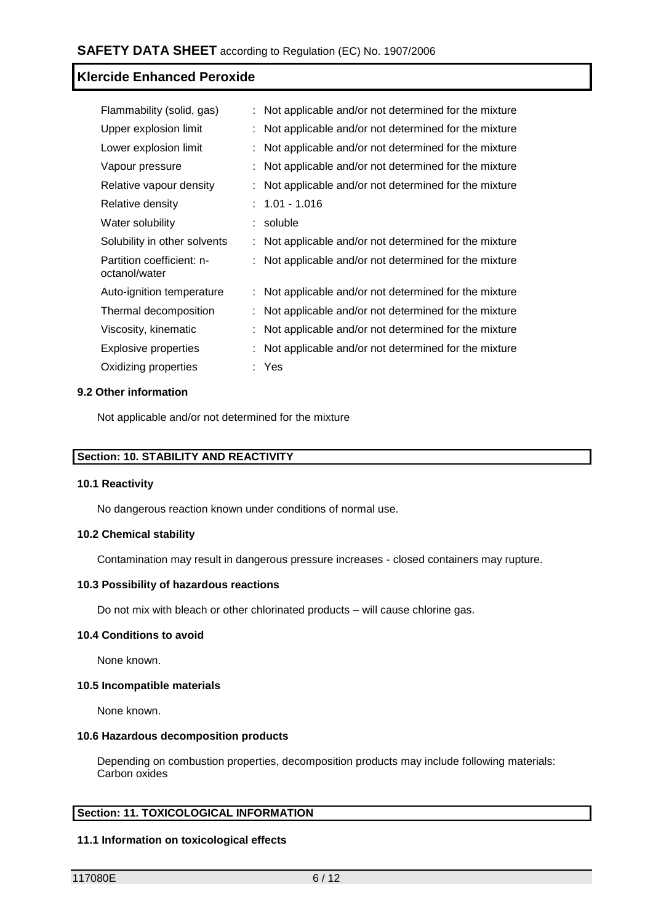| Flammability (solid, gas)                  | : Not applicable and/or not determined for the mixture |
|--------------------------------------------|--------------------------------------------------------|
| Upper explosion limit                      | Not applicable and/or not determined for the mixture   |
| Lower explosion limit                      | Not applicable and/or not determined for the mixture   |
| Vapour pressure                            | Not applicable and/or not determined for the mixture   |
| Relative vapour density                    | Not applicable and/or not determined for the mixture   |
| Relative density                           | $: 1.01 - 1.016$                                       |
| Water solubility                           | : soluble                                              |
| Solubility in other solvents               | Not applicable and/or not determined for the mixture   |
| Partition coefficient: n-<br>octanol/water | Not applicable and/or not determined for the mixture   |
| Auto-ignition temperature                  | : Not applicable and/or not determined for the mixture |
| Thermal decomposition                      | Not applicable and/or not determined for the mixture   |
| Viscosity, kinematic                       | Not applicable and/or not determined for the mixture   |
| Explosive properties                       | Not applicable and/or not determined for the mixture   |
| Oxidizing properties                       | : Yes                                                  |

#### **9.2 Other information**

Not applicable and/or not determined for the mixture

#### **Section: 10. STABILITY AND REACTIVITY**

#### **10.1 Reactivity**

No dangerous reaction known under conditions of normal use.

#### **10.2 Chemical stability**

Contamination may result in dangerous pressure increases - closed containers may rupture.

#### **10.3 Possibility of hazardous reactions**

Do not mix with bleach or other chlorinated products – will cause chlorine gas.

#### **10.4 Conditions to avoid**

None known.

#### **10.5 Incompatible materials**

None known.

#### **10.6 Hazardous decomposition products**

Depending on combustion properties, decomposition products may include following materials: Carbon oxides

#### **Section: 11. TOXICOLOGICAL INFORMATION**

#### **11.1 Information on toxicological effects**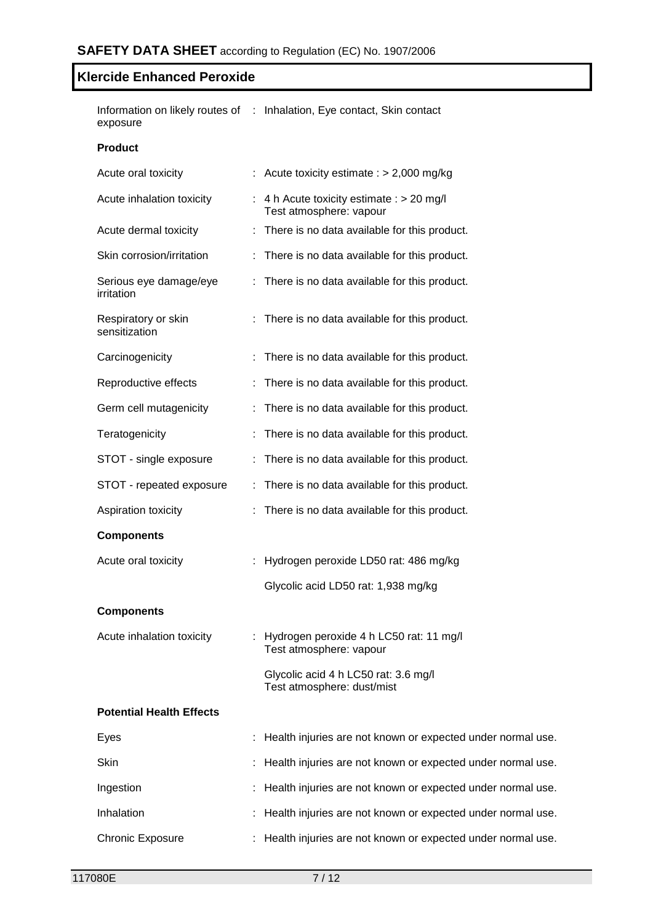Information on likely routes of : Inhalation, Eye contact, Skin contact exposure

#### **Product**

| Acute oral toxicity                  | : Acute toxicity estimate : $> 2,000$ mg/kg                            |
|--------------------------------------|------------------------------------------------------------------------|
| Acute inhalation toxicity            | : 4 h Acute toxicity estimate : $> 20$ mg/l<br>Test atmosphere: vapour |
| Acute dermal toxicity                | : There is no data available for this product.                         |
| Skin corrosion/irritation            | : There is no data available for this product.                         |
| Serious eye damage/eye<br>irritation | : There is no data available for this product.                         |
| Respiratory or skin<br>sensitization | : There is no data available for this product.                         |
| Carcinogenicity                      | There is no data available for this product.                           |
| Reproductive effects                 | There is no data available for this product.                           |
| Germ cell mutagenicity               | There is no data available for this product.                           |
| Teratogenicity                       | There is no data available for this product.                           |
| STOT - single exposure               | There is no data available for this product.                           |
| STOT - repeated exposure             | : There is no data available for this product.                         |
| Aspiration toxicity                  | : There is no data available for this product.                         |
| <b>Components</b>                    |                                                                        |
| Acute oral toxicity                  | Hydrogen peroxide LD50 rat: 486 mg/kg                                  |
|                                      | Glycolic acid LD50 rat: 1,938 mg/kg                                    |
| <b>Components</b>                    |                                                                        |
| Acute inhalation toxicity            | : Hydrogen peroxide 4 h LC50 rat: 11 mg/l<br>Test atmosphere: vapour   |
|                                      | Glycolic acid 4 h LC50 rat: 3.6 mg/l<br>Test atmosphere: dust/mist     |
| <b>Potential Health Effects</b>      |                                                                        |
| Eyes                                 | Health injuries are not known or expected under normal use.            |
| Skin                                 | Health injuries are not known or expected under normal use.            |
| Ingestion                            | Health injuries are not known or expected under normal use.            |
| Inhalation                           | Health injuries are not known or expected under normal use.            |
| <b>Chronic Exposure</b>              | Health injuries are not known or expected under normal use.            |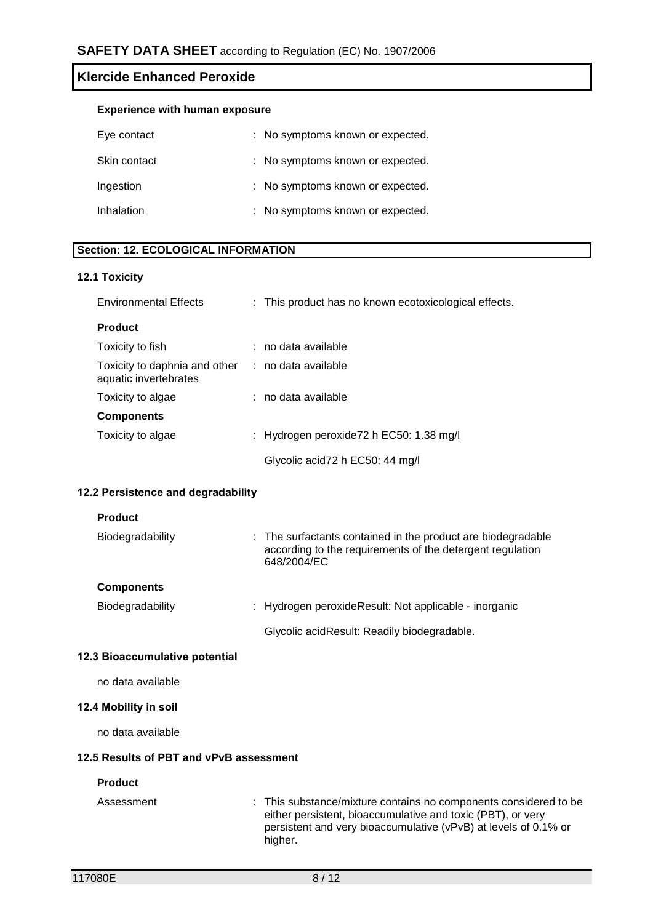|  |  | <b>Experience with human exposure</b> |
|--|--|---------------------------------------|
|--|--|---------------------------------------|

| Eye contact       | : No symptoms known or expected. |
|-------------------|----------------------------------|
| Skin contact      | : No symptoms known or expected. |
| Ingestion         | : No symptoms known or expected. |
| <b>Inhalation</b> | : No symptoms known or expected. |

#### **Section: 12. ECOLOGICAL INFORMATION**

#### **12.1 Toxicity**

| <b>Environmental Effects</b>                                               | : This product has no known ecotoxicological effects. |
|----------------------------------------------------------------------------|-------------------------------------------------------|
| <b>Product</b>                                                             |                                                       |
| Toxicity to fish                                                           | : no data available                                   |
| Toxicity to daphnia and other : no data available<br>aquatic invertebrates |                                                       |
| Toxicity to algae                                                          | : no data available                                   |
| <b>Components</b>                                                          |                                                       |
| Toxicity to algae                                                          | : Hydrogen peroxide72 h EC50: 1.38 mg/l               |
|                                                                            | Glycolic acid72 h EC50: 44 mg/l                       |

# **12.2 Persistence and degradability**

#### **Product**

| Biodegradability | : The surfactants contained in the product are biodegradable<br>according to the requirements of the detergent regulation<br>648/2004/EC |
|------------------|------------------------------------------------------------------------------------------------------------------------------------------|
| Components       |                                                                                                                                          |
| Biodegradability | : Hydrogen peroxideResult: Not applicable - inorganic                                                                                    |

Glycolic acidResult: Readily biodegradable.

# **12.3 Bioaccumulative potential**

no data available

#### **12.4 Mobility in soil**

no data available

#### **12.5 Results of PBT and vPvB assessment**

#### **Product**

| Assessment | : This substance/mixture contains no components considered to be |
|------------|------------------------------------------------------------------|
|            | either persistent, bioaccumulative and toxic (PBT), or very      |
|            | persistent and very bioaccumulative (vPvB) at levels of 0.1% or  |
|            | higher.                                                          |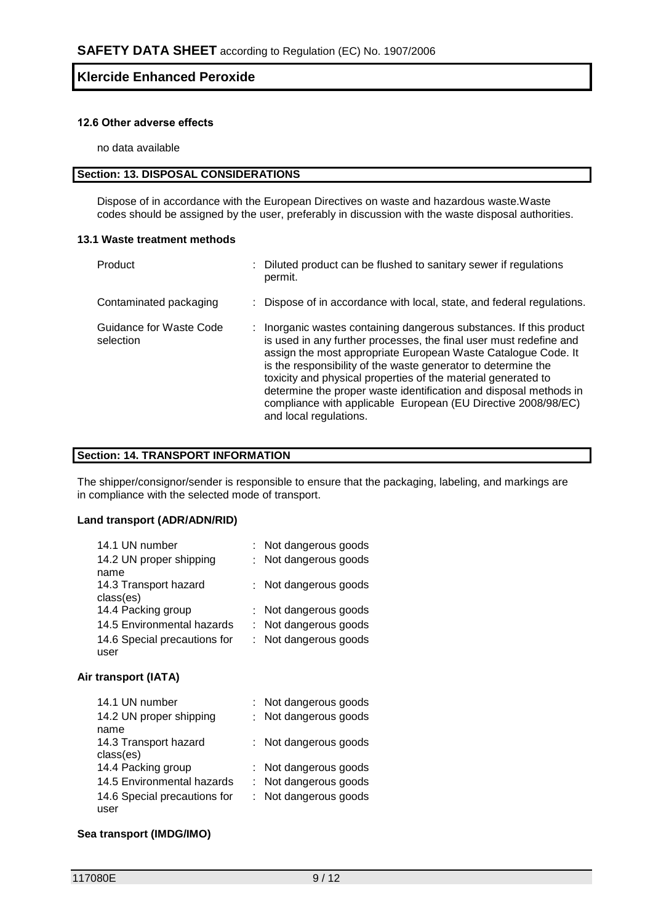#### **12.6 Other adverse effects**

no data available

# **Section: 13. DISPOSAL CONSIDERATIONS**

Dispose of in accordance with the European Directives on waste and hazardous waste.Waste codes should be assigned by the user, preferably in discussion with the waste disposal authorities.

#### **13.1 Waste treatment methods**

| Product                              | : Diluted product can be flushed to sanitary sewer if regulations<br>permit.                                                                                                                                                                                                                                                                                                                                                                                                                                 |
|--------------------------------------|--------------------------------------------------------------------------------------------------------------------------------------------------------------------------------------------------------------------------------------------------------------------------------------------------------------------------------------------------------------------------------------------------------------------------------------------------------------------------------------------------------------|
| Contaminated packaging               | : Dispose of in accordance with local, state, and federal regulations.                                                                                                                                                                                                                                                                                                                                                                                                                                       |
| Guidance for Waste Code<br>selection | : Inorganic wastes containing dangerous substances. If this product<br>is used in any further processes, the final user must redefine and<br>assign the most appropriate European Waste Catalogue Code. It<br>is the responsibility of the waste generator to determine the<br>toxicity and physical properties of the material generated to<br>determine the proper waste identification and disposal methods in<br>compliance with applicable European (EU Directive 2008/98/EC)<br>and local regulations. |

#### **Section: 14. TRANSPORT INFORMATION**

The shipper/consignor/sender is responsible to ensure that the packaging, labeling, and markings are in compliance with the selected mode of transport.

#### **Land transport (ADR/ADN/RID)**

| 14.1 UN number               | : Not dangerous goods |
|------------------------------|-----------------------|
| 14.2 UN proper shipping      | : Not dangerous goods |
| name                         |                       |
| 14.3 Transport hazard        | : Not dangerous goods |
| class(es)                    |                       |
| 14.4 Packing group           | : Not dangerous goods |
| 14.5 Environmental hazards   | : Not dangerous goods |
| 14.6 Special precautions for | : Not dangerous goods |
| user                         |                       |

#### **Air transport (IATA)**

| 14.1 UN number               | : Not dangerous goods |
|------------------------------|-----------------------|
| 14.2 UN proper shipping      | : Not dangerous goods |
| name                         |                       |
| 14.3 Transport hazard        | : Not dangerous goods |
| class(es)                    |                       |
| 14.4 Packing group           | : Not dangerous goods |
| 14.5 Environmental hazards   | : Not dangerous goods |
| 14.6 Special precautions for | : Not dangerous goods |
| user                         |                       |

#### **Sea transport (IMDG/IMO)**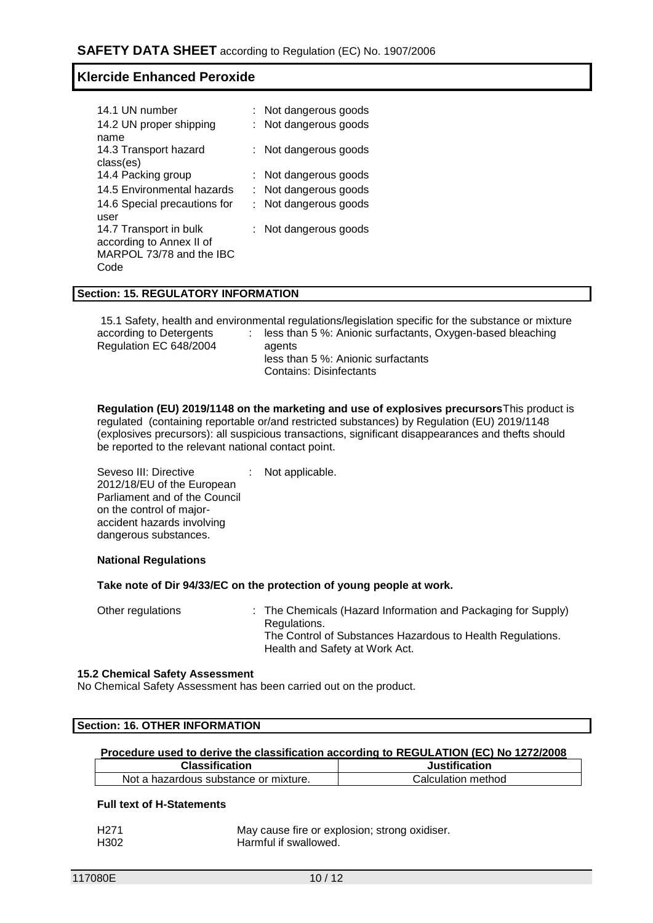| : Not dangerous goods    |
|--------------------------|
| : Not dangerous goods    |
|                          |
| : Not dangerous goods    |
|                          |
| : Not dangerous goods    |
| : Not dangerous goods    |
| : Not dangerous goods    |
|                          |
| : Not dangerous goods    |
|                          |
| MARPOL 73/78 and the IBC |
|                          |
|                          |

#### **Section: 15. REGULATORY INFORMATION**

15.1 Safety, health and environmental regulations/legislation specific for the substance or mixture according to Detergents Regulation EC 648/2004 : less than 5 %: Anionic surfactants, Oxygen-based bleaching agents less than 5 %: Anionic surfactants Contains: Disinfectants

**Regulation (EU) 2019/1148 on the marketing and use of explosives precursors**This product is regulated (containing reportable or/and restricted substances) by Regulation (EU) 2019/1148 (explosives precursors): all suspicious transactions, significant disappearances and thefts should be reported to the relevant national contact point.

Seveso III: Directive 2012/18/EU of the European Parliament and of the Council on the control of majoraccident hazards involving dangerous substances. Not applicable.

#### **National Regulations**

**Take note of Dir 94/33/EC on the protection of young people at work.**

Other regulations : The Chemicals (Hazard Information and Packaging for Supply) Regulations. The Control of Substances Hazardous to Health Regulations. Health and Safety at Work Act.

#### **15.2 Chemical Safety Assessment**

No Chemical Safety Assessment has been carried out on the product.

| <b>Section: 16. OTHER INFORMATION</b> |  |
|---------------------------------------|--|
|                                       |  |

#### **Procedure used to derive the classification according to REGULATION (EC) No 1272/2008 Classification Justification**

| <b>VIUVUIIIVUUVII</b>                            |                    |
|--------------------------------------------------|--------------------|
| i hazardous substance or mixture.<br>Not.<br>'n. | Calculation method |
|                                                  |                    |

#### **Full text of H-Statements**

| H <sub>271</sub> | May cause fire or explosion; strong oxidiser. |
|------------------|-----------------------------------------------|
| H302             | Harmful if swallowed.                         |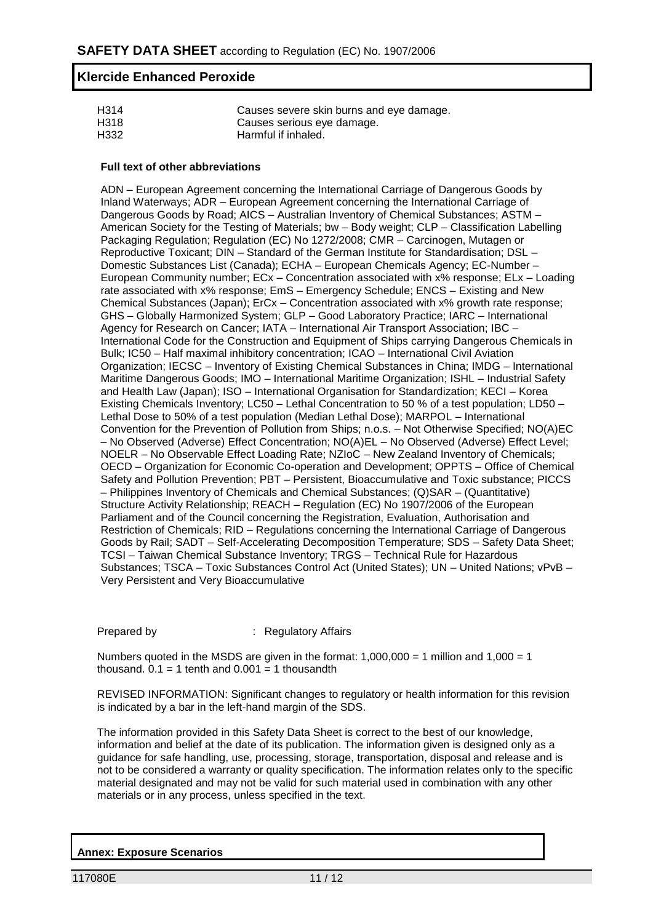| H314 | Causes severe skin burns and eye damage. |
|------|------------------------------------------|
| H318 | Causes serious eye damage.               |
| H332 | Harmful if inhaled.                      |

#### **Full text of other abbreviations**

ADN – European Agreement concerning the International Carriage of Dangerous Goods by Inland Waterways; ADR – European Agreement concerning the International Carriage of Dangerous Goods by Road; AICS – Australian Inventory of Chemical Substances; ASTM – American Society for the Testing of Materials; bw – Body weight; CLP – Classification Labelling Packaging Regulation; Regulation (EC) No 1272/2008; CMR – Carcinogen, Mutagen or Reproductive Toxicant; DIN – Standard of the German Institute for Standardisation; DSL – Domestic Substances List (Canada); ECHA – European Chemicals Agency; EC-Number – European Community number; ECx – Concentration associated with x% response; ELx – Loading rate associated with x% response; EmS – Emergency Schedule; ENCS – Existing and New Chemical Substances (Japan); ErCx – Concentration associated with x% growth rate response; GHS – Globally Harmonized System; GLP – Good Laboratory Practice; IARC – International Agency for Research on Cancer; IATA – International Air Transport Association; IBC – International Code for the Construction and Equipment of Ships carrying Dangerous Chemicals in Bulk; IC50 – Half maximal inhibitory concentration; ICAO – International Civil Aviation Organization; IECSC – Inventory of Existing Chemical Substances in China; IMDG – International Maritime Dangerous Goods; IMO – International Maritime Organization; ISHL – Industrial Safety and Health Law (Japan); ISO – International Organisation for Standardization; KECI – Korea Existing Chemicals Inventory; LC50 – Lethal Concentration to 50 % of a test population; LD50 – Lethal Dose to 50% of a test population (Median Lethal Dose); MARPOL – International Convention for the Prevention of Pollution from Ships; n.o.s. – Not Otherwise Specified; NO(A)EC – No Observed (Adverse) Effect Concentration; NO(A)EL – No Observed (Adverse) Effect Level; NOELR – No Observable Effect Loading Rate; NZIoC – New Zealand Inventory of Chemicals; OECD – Organization for Economic Co-operation and Development; OPPTS – Office of Chemical Safety and Pollution Prevention; PBT – Persistent, Bioaccumulative and Toxic substance; PICCS – Philippines Inventory of Chemicals and Chemical Substances; (Q)SAR – (Quantitative) Structure Activity Relationship; REACH – Regulation (EC) No 1907/2006 of the European Parliament and of the Council concerning the Registration, Evaluation, Authorisation and Restriction of Chemicals; RID – Regulations concerning the International Carriage of Dangerous Goods by Rail; SADT – Self-Accelerating Decomposition Temperature; SDS – Safety Data Sheet; TCSI – Taiwan Chemical Substance Inventory; TRGS – Technical Rule for Hazardous Substances; TSCA – Toxic Substances Control Act (United States); UN – United Nations; vPvB – Very Persistent and Very Bioaccumulative

Prepared by : Regulatory Affairs

Numbers quoted in the MSDS are given in the format:  $1,000,000 = 1$  million and  $1,000 = 1$ thousand.  $0.1 = 1$  tenth and  $0.001 = 1$  thousandth

REVISED INFORMATION: Significant changes to regulatory or health information for this revision is indicated by a bar in the left-hand margin of the SDS.

The information provided in this Safety Data Sheet is correct to the best of our knowledge, information and belief at the date of its publication. The information given is designed only as a guidance for safe handling, use, processing, storage, transportation, disposal and release and is not to be considered a warranty or quality specification. The information relates only to the specific material designated and may not be valid for such material used in combination with any other materials or in any process, unless specified in the text.

**Annex: Exposure Scenarios**